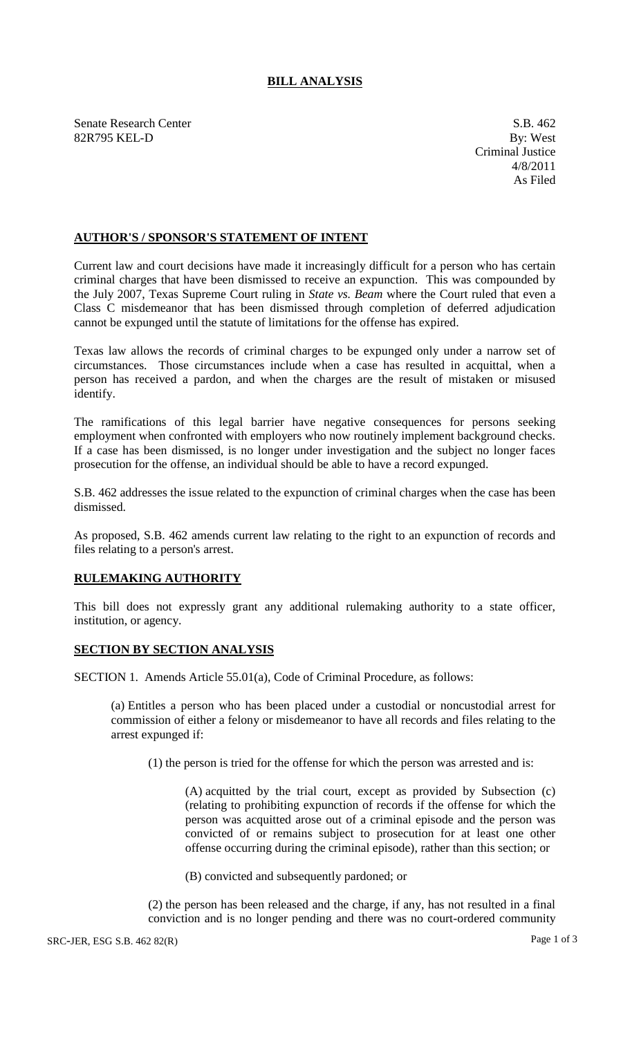## **BILL ANALYSIS**

Senate Research Center S.B. 462 82R795 KEL-D By: West

## **AUTHOR'S / SPONSOR'S STATEMENT OF INTENT**

Current law and court decisions have made it increasingly difficult for a person who has certain criminal charges that have been dismissed to receive an expunction. This was compounded by the July 2007, Texas Supreme Court ruling in *State vs. Beam* where the Court ruled that even a Class C misdemeanor that has been dismissed through completion of deferred adjudication cannot be expunged until the statute of limitations for the offense has expired.

Texas law allows the records of criminal charges to be expunged only under a narrow set of circumstances. Those circumstances include when a case has resulted in acquittal, when a person has received a pardon, and when the charges are the result of mistaken or misused identify.

The ramifications of this legal barrier have negative consequences for persons seeking employment when confronted with employers who now routinely implement background checks. If a case has been dismissed, is no longer under investigation and the subject no longer faces prosecution for the offense, an individual should be able to have a record expunged.

S.B. 462 addresses the issue related to the expunction of criminal charges when the case has been dismissed.

As proposed, S.B. 462 amends current law relating to the right to an expunction of records and files relating to a person's arrest.

## **RULEMAKING AUTHORITY**

This bill does not expressly grant any additional rulemaking authority to a state officer, institution, or agency.

## **SECTION BY SECTION ANALYSIS**

SECTION 1. Amends Article 55.01(a), Code of Criminal Procedure, as follows:

(a) Entitles a person who has been placed under a custodial or noncustodial arrest for commission of either a felony or misdemeanor to have all records and files relating to the arrest expunged if:

(1) the person is tried for the offense for which the person was arrested and is:

(A) acquitted by the trial court, except as provided by Subsection (c) (relating to prohibiting expunction of records if the offense for which the person was acquitted arose out of a criminal episode and the person was convicted of or remains subject to prosecution for at least one other offense occurring during the criminal episode), rather than this section; or

(B) convicted and subsequently pardoned; or

(2) the person has been released and the charge, if any, has not resulted in a final conviction and is no longer pending and there was no court-ordered community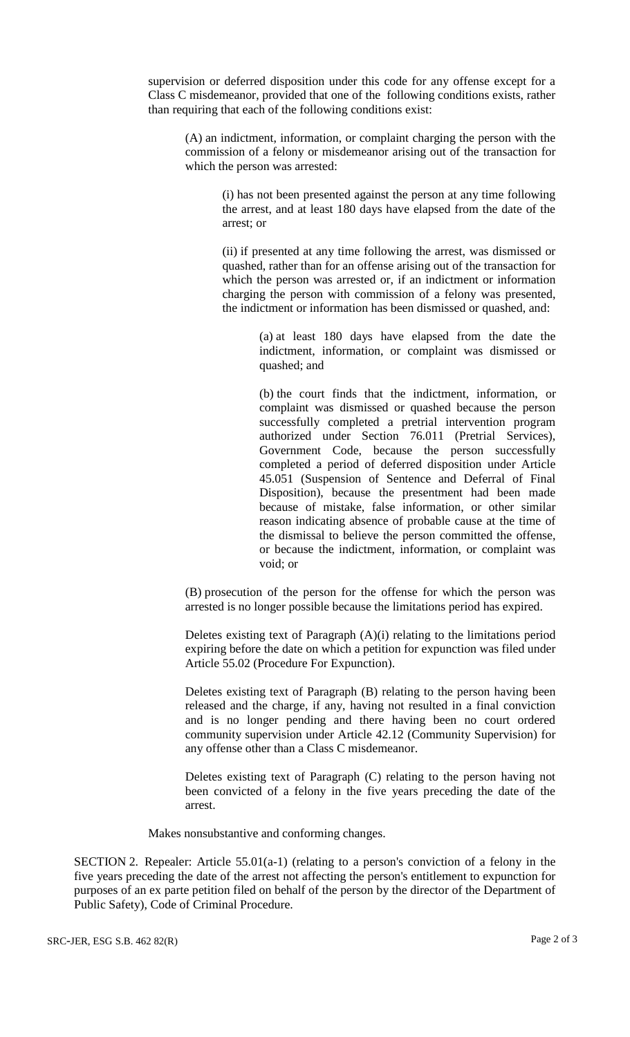supervision or deferred disposition under this code for any offense except for a Class C misdemeanor, provided that one of the following conditions exists, rather than requiring that each of the following conditions exist:

(A) an indictment, information, or complaint charging the person with the commission of a felony or misdemeanor arising out of the transaction for which the person was arrested:

> (i) has not been presented against the person at any time following the arrest, and at least 180 days have elapsed from the date of the arrest; or

> (ii) if presented at any time following the arrest, was dismissed or quashed, rather than for an offense arising out of the transaction for which the person was arrested or, if an indictment or information charging the person with commission of a felony was presented, the indictment or information has been dismissed or quashed, and:

> > (a) at least 180 days have elapsed from the date the indictment, information, or complaint was dismissed or quashed; and

> > (b) the court finds that the indictment, information, or complaint was dismissed or quashed because the person successfully completed a pretrial intervention program authorized under Section 76.011 (Pretrial Services), Government Code, because the person successfully completed a period of deferred disposition under Article 45.051 (Suspension of Sentence and Deferral of Final Disposition), because the presentment had been made because of mistake, false information, or other similar reason indicating absence of probable cause at the time of the dismissal to believe the person committed the offense, or because the indictment, information, or complaint was void; or

(B) prosecution of the person for the offense for which the person was arrested is no longer possible because the limitations period has expired.

Deletes existing text of Paragraph (A)(i) relating to the limitations period expiring before the date on which a petition for expunction was filed under Article 55.02 (Procedure For Expunction).

Deletes existing text of Paragraph (B) relating to the person having been released and the charge, if any, having not resulted in a final conviction and is no longer pending and there having been no court ordered community supervision under Article 42.12 (Community Supervision) for any offense other than a Class C misdemeanor.

Deletes existing text of Paragraph (C) relating to the person having not been convicted of a felony in the five years preceding the date of the arrest.

Makes nonsubstantive and conforming changes.

SECTION 2. Repealer: Article 55.01(a-1) (relating to a person's conviction of a felony in the five years preceding the date of the arrest not affecting the person's entitlement to expunction for purposes of an ex parte petition filed on behalf of the person by the director of the Department of Public Safety), Code of Criminal Procedure.